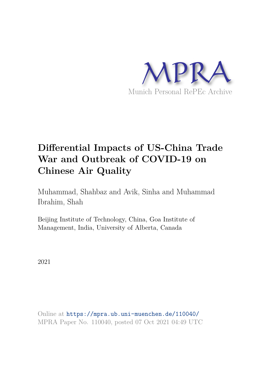

# **Differential Impacts of US-China Trade War and Outbreak of COVID-19 on Chinese Air Quality**

Muhammad, Shahbaz and Avik, Sinha and Muhammad Ibrahim, Shah

Beijing Institute of Technology, China, Goa Institute of Management, India, University of Alberta, Canada

2021

Online at https://mpra.ub.uni-muenchen.de/110040/ MPRA Paper No. 110040, posted 07 Oct 2021 04:49 UTC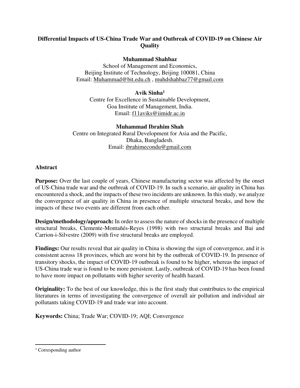# **Differential Impacts of US-China Trade War and Outbreak of COVID-19 on Chinese Air Quality**

### **Muhammad Shahbaz**

School of Management and Economics, Beijing Institute of Technology, Beijing 100081, China Email: [Muhammad@bit.edu.ch](mailto:Muhammad@bit.edu.ch) , [muhdshahbaz77@gmail.com](mailto:muhdshahbaz77@gmail.com) 

# **Avik Sinha<sup>1</sup>**

Centre for Excellence in Sustainable Development, Goa Institute of Management, India. Email: [f11aviks@iimidr.ac.in](mailto:f11aviks@iimidr.ac.in) 

### **Muhammad Ibrahim Shah**

Centre on Integrated Rural Development for Asia and the Pacific, Dhaka, Bangladesh. Email: [ibrahimecondu@gmail.com](mailto:ibrahimecondu@gmail.com) 

### **Abstract**

**Purpose:** Over the last couple of years, Chinese manufacturing sector was affected by the onset of US-China trade war and the outbreak of COVID-19. In such a scenario, air quality in China has encountered a shock, and the impacts of these two incidents are unknown. In this study, we analyze the convergence of air quality in China in presence of multiple structural breaks, and how the impacts of these two events are different from each other.

**Design/methodology/approach:** In order to assess the nature of shocks in the presence of multiple structural breaks, Clemente-Montañés-Reyes (1998) with two structural breaks and Bai and Carrion-i-Silvestre (2009) with five structural breaks are employed.

**Findings:** Our results reveal that air quality in China is showing the sign of convergence, and it is consistent across 18 provinces, which are worst hit by the outbreak of COVID-19. In presence of transitory shocks, the impact of COVID-19 outbreak is found to be higher, whereas the impact of US-China trade war is found to be more persistent. Lastly, outbreak of COVID-19 has been found to have more impact on pollutants with higher severity of health hazard.

**Originality:** To the best of our knowledge, this is the first study that contributes to the empirical literatures in terms of investigating the convergence of overall air pollution and individual air pollutants taking COVID-19 and trade war into account.

**Keywords:** China; Trade War; COVID-19; AQI; Convergence

<sup>&</sup>lt;sup>1</sup> Corresponding author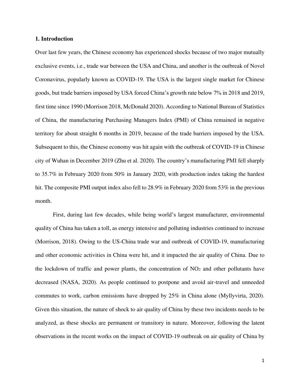#### **1. Introduction**

Over last few years, the Chinese economy has experienced shocks because of two major mutually exclusive events, i.e., trade war between the USA and China, and another is the outbreak of Novel Coronavirus, popularly known as COVID-19. The USA is the largest single market for Chinese goods, but trade barriers imposed by USA forced China's growth rate below 7% in 2018 and 2019, first time since 1990 (Morrison 2018, McDonald 2020). According to National Bureau of Statistics of China, the manufacturing Purchasing Managers Index (PMI) of China remained in negative territory for about straight 6 months in 2019, because of the trade barriers imposed by the USA. Subsequent to this, the Chinese economy was hit again with the outbreak of COVID-19 in Chinese city of Wuhan in December 2019 (Zhu et al. 2020). The country's manufacturing PMI fell sharply to 35.7% in February 2020 from 50% in January 2020, with production index taking the hardest hit. The composite PMI output index also fell to 28.9% in February 2020 from 53% in the previous month.

First, during last few decades, while being world's largest manufacturer, environmental quality of China has taken a toll, as energy intensive and polluting industries continued to increase (Morrison, 2018). Owing to the US-China trade war and outbreak of COVID-19, manufacturing and other economic activities in China were hit, and it impacted the air quality of China. Due to the lockdown of traffic and power plants, the concentration of NO<sub>2</sub> and other pollutants have decreased (NASA, 2020). As people continued to postpone and avoid air-travel and unneeded commutes to work, carbon emissions have dropped by 25% in China alone (Myllyvirta, 2020). Given this situation, the nature of shock to air quality of China by these two incidents needs to be analyzed, as these shocks are permanent or transitory in nature. Moreover, following the latent observations in the recent works on the impact of COVID-19 outbreak on air quality of China by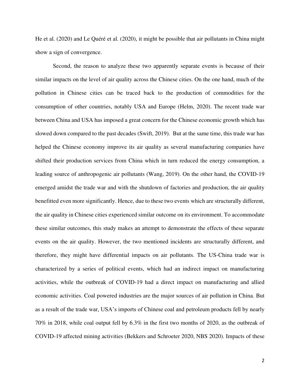He et al. (2020) and Le Quéré et al. (2020), it might be possible that air pollutants in China might show a sign of convergence.

Second, the reason to analyze these two apparently separate events is because of their similar impacts on the level of air quality across the Chinese cities. On the one hand, much of the pollution in Chinese cities can be traced back to the production of commodities for the consumption of other countries, notably USA and Europe (Helm, 2020). The recent trade war between China and USA has imposed a great concern for the Chinese economic growth which has slowed down compared to the past decades (Swift, 2019). But at the same time, this trade war has helped the Chinese economy improve its air quality as several manufacturing companies have shifted their production services from China which in turn reduced the energy consumption, a leading source of anthropogenic air pollutants (Wang, 2019). On the other hand, the COVID-19 emerged amidst the trade war and with the shutdown of factories and production, the air quality benefitted even more significantly. Hence, due to these two events which are structurally different, the air quality in Chinese cities experienced similar outcome on its environment. To accommodate these similar outcomes, this study makes an attempt to demonstrate the effects of these separate events on the air quality. However, the two mentioned incidents are structurally different, and therefore, they might have differential impacts on air pollutants. The US-China trade war is characterized by a series of political events, which had an indirect impact on manufacturing activities, while the outbreak of COVID-19 had a direct impact on manufacturing and allied economic activities. Coal powered industries are the major sources of air pollution in China. But as a result of the trade war, USA's imports of Chinese coal and petroleum products fell by nearly 70% in 2018, while coal output fell by 6.3% in the first two months of 2020, as the outbreak of COVID-19 affected mining activities (Bekkers and Schroeter 2020, NBS 2020). Impacts of these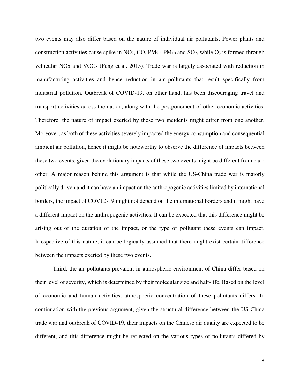two events may also differ based on the nature of individual air pollutants. Power plants and construction activities cause spike in  $NO<sub>2</sub>$ , CO,  $PM<sub>2.5</sub>$ ,  $PM<sub>10</sub>$  and  $SO<sub>2</sub>$ , while  $O<sub>3</sub>$  is formed through vehicular NOx and VOCs (Feng et al. 2015). Trade war is largely associated with reduction in manufacturing activities and hence reduction in air pollutants that result specifically from industrial pollution. Outbreak of COVID-19, on other hand, has been discouraging travel and transport activities across the nation, along with the postponement of other economic activities. Therefore, the nature of impact exerted by these two incidents might differ from one another. Moreover, as both of these activities severely impacted the energy consumption and consequential ambient air pollution, hence it might be noteworthy to observe the difference of impacts between these two events, given the evolutionary impacts of these two events might be different from each other. A major reason behind this argument is that while the US-China trade war is majorly politically driven and it can have an impact on the anthropogenic activities limited by international borders, the impact of COVID-19 might not depend on the international borders and it might have a different impact on the anthropogenic activities. It can be expected that this difference might be arising out of the duration of the impact, or the type of pollutant these events can impact. Irrespective of this nature, it can be logically assumed that there might exist certain difference between the impacts exerted by these two events.

Third, the air pollutants prevalent in atmospheric environment of China differ based on their level of severity, which is determined by their molecular size and half-life. Based on the level of economic and human activities, atmospheric concentration of these pollutants differs. In continuation with the previous argument, given the structural difference between the US-China trade war and outbreak of COVID-19, their impacts on the Chinese air quality are expected to be different, and this difference might be reflected on the various types of pollutants differed by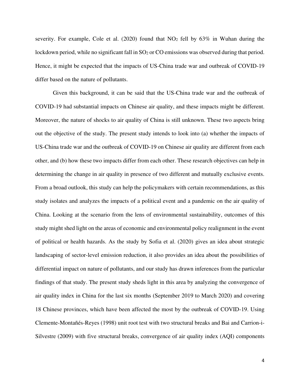severity. For example, Cole et al.  $(2020)$  found that NO<sub>2</sub> fell by  $63\%$  in Wuhan during the lockdown period, while no significant fall in SO<sub>2</sub> or CO emissions was observed during that period. Hence, it might be expected that the impacts of US-China trade war and outbreak of COVID-19 differ based on the nature of pollutants.

Given this background, it can be said that the US-China trade war and the outbreak of COVID-19 had substantial impacts on Chinese air quality, and these impacts might be different. Moreover, the nature of shocks to air quality of China is still unknown. These two aspects bring out the objective of the study. The present study intends to look into (a) whether the impacts of US-China trade war and the outbreak of COVID-19 on Chinese air quality are different from each other, and (b) how these two impacts differ from each other. These research objectives can help in determining the change in air quality in presence of two different and mutually exclusive events. From a broad outlook, this study can help the policymakers with certain recommendations, as this study isolates and analyzes the impacts of a political event and a pandemic on the air quality of China. Looking at the scenario from the lens of environmental sustainability, outcomes of this study might shed light on the areas of economic and environmental policy realignment in the event of political or health hazards. As the study by Sofia et al. (2020) gives an idea about strategic landscaping of sector-level emission reduction, it also provides an idea about the possibilities of differential impact on nature of pollutants, and our study has drawn inferences from the particular findings of that study. The present study sheds light in this area by analyzing the convergence of air quality index in China for the last six months (September 2019 to March 2020) and covering 18 Chinese provinces, which have been affected the most by the outbreak of COVID-19. Using Clemente-Montañés-Reyes (1998) unit root test with two structural breaks and Bai and Carrion-i-Silvestre (2009) with five structural breaks, convergence of air quality index (AQI) components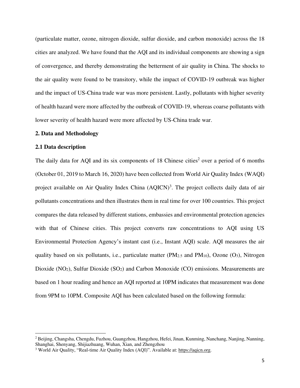(particulate matter, ozone, nitrogen dioxide, sulfur dioxide, and carbon monoxide) across the 18 cities are analyzed. We have found that the AQI and its individual components are showing a sign of convergence, and thereby demonstrating the betterment of air quality in China. The shocks to the air quality were found to be transitory, while the impact of COVID-19 outbreak was higher and the impact of US-China trade war was more persistent. Lastly, pollutants with higher severity of health hazard were more affected by the outbreak of COVID-19, whereas coarse pollutants with lower severity of health hazard were more affected by US-China trade war.

#### **2. Data and Methodology**

#### **2.1 Data description**

The daily data for AQI and its six components of 18 Chinese cities<sup>2</sup> over a period of 6 months (October 01, 2019 to March 16, 2020) have been collected from World Air Quality Index (WAQI) project available on Air Quality Index China (AQICN)<sup>3</sup>. The project collects daily data of air pollutants concentrations and then illustrates them in real time for over 100 countries. This project compares the data released by different stations, embassies and environmental protection agencies with that of Chinese cities. This project converts raw concentrations to AQI using US Environmental Protection Agency's instant cast (i.e., Instant AQI) scale. AQI measures the air quality based on six pollutants, i.e., particulate matter ( $PM_{2.5}$  and  $PM_{10}$ ), Ozone (O<sub>3</sub>), Nitrogen Dioxide (NO<sub>2</sub>), Sulfur Dioxide (SO<sub>2</sub>) and Carbon Monoxide (CO) emissions. Measurements are based on 1 hour reading and hence an AQI reported at 10PM indicates that measurement was done from 9PM to 10PM. Composite AQI has been calculated based on the following formula:

<sup>&</sup>lt;sup>2</sup> Beijing, Changsha, Chengdu, Fuzhou, Guangzhou, Hangzhou, Hefei, Jinan, Kunming, Nanchang, Nanjing, Nanning, Shanghai, Shenyang, Shijiazhuang, Wuhan, Xian, and Zhengzhou

<sup>&</sup>lt;sup>3</sup> World Air Quality, "Real-time Air Quality Index (AQI)". Available at: [https://aqicn.org.](https://aqicn.org/)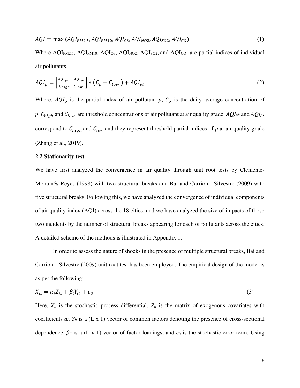$$
AQI = \max (AQI_{PM2.5}, AQI_{PM10}, AQI_{03}, AQI_{N02}, AQI_{S02}, AQI_{CO})
$$
\n(1)

Where AQI<sub>PM2.5</sub>, AQI<sub>PM10</sub>, AQI<sub>O3</sub>, AQI<sub>NO2</sub>, AQI<sub>SO2</sub>, and AQI<sub>co</sub> are partial indices of individual air pollutants.

$$
AQI_p = \left[\frac{AQI_{ph} - AQI_{pl}}{C_{high} - C_{low}}\right] * \left(C_p - C_{low}\right) + AQI_{pl} \tag{2}
$$

Where,  $AQI_p$  is the partial index of air pollutant p,  $C_p$  is the daily average concentration of *p*.  $C_{high}$  and  $C_{low}$  are threshold concentrations of air pollutant at air quality grade.  $AQI_{ph}$  and  $AQI_{pl}$ correspond to  $C_{high}$  and  $C_{low}$  and they represent threshold partial indices of  $p$  at air quality grade (Zhang et al., 2019).

#### **2.2 Stationarity test**

We have first analyzed the convergence in air quality through unit root tests by Clemente-Montañés-Reyes (1998) with two structural breaks and Bai and Carrion-i-Silvestre (2009) with five structural breaks. Following this, we have analyzed the convergence of individual components of air quality index (AQI) across the 18 cities, and we have analyzed the size of impacts of those two incidents by the number of structural breaks appearing for each of pollutants across the cities. A detailed scheme of the methods is illustrated in Appendix 1.

In order to assess the nature of shocks in the presence of multiple structural breaks, Bai and Carrion-i-Silvestre (2009) unit root test has been employed. The empirical design of the model is as per the following:

$$
X_{it} = \alpha_i Z_{it} + \beta_i Y_{it} + \varepsilon_{it} \tag{3}
$$

Here,  $X_{it}$  is the stochastic process differential,  $Z_{it}$  is the matrix of exogenous covariates with coefficients  $a_i$ ,  $Y_i$  is a (L x 1) vector of common factors denoting the presence of cross-sectional dependence, *βit* is a (L x 1) vector of factor loadings, and *εit* is the stochastic error term. Using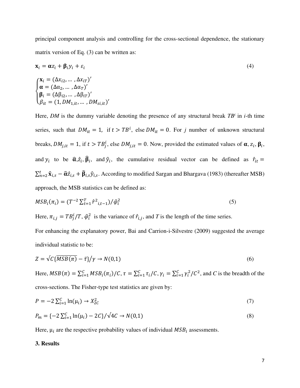principal component analysis and controlling for the cross-sectional dependence, the stationary matrix version of Eq. (3) can be written as:

$$
\mathbf{x}_{i} = \alpha z_{i} + \beta_{i} y_{i} + \varepsilon_{i}
$$
\n
$$
\begin{cases}\n\mathbf{x}_{i} = (\Delta x_{i2}, \dots, \Delta x_{iT})' \\
\alpha = (\Delta \alpha_{2}, \dots, \Delta \alpha_{T})' \\
\beta_{i} = (\Delta \beta_{i2}, \dots, \Delta \beta_{iT})' \\
\beta_{it} = (1, DM_{1,it}, \dots, DM_{si,it})'\n\end{cases}
$$
\n(4)

Here, *DM* is the dummy variable denoting the presence of any structural break *TB<sup>i</sup>* in *i*-th time series, such that  $DM_{it} = 1$ , if  $t > TB^{i}$ , else  $DM_{it} = 0$ . For *j* number of unknown structural breaks,  $DM_{j, it} = 1$ , if  $t > TB_j^t$ , else  $DM_{j, it} = 0$ . Now, provided the estimated values of  $\alpha$ ,  $z_i$ ,  $\beta_i$ , and  $y_i$  to be  $\hat{\alpha}, \hat{z}_i, \hat{\beta}_i$ , and  $\hat{y}_i$ , the cumulative residual vector can be defined as  $\hat{r}_{it}$  =  $\sum_{n=2}^{t} \hat{\mathbf{x}}_{i,s} - \hat{\mathbf{\alpha}} \hat{z}_{i,s} + \hat{\mathbf{\beta}}_{i,s} \hat{y}_{i,s}$ . According to modified Sargan and Bhargava (1983) (thereafter MSB) approach, the MSB statistics can be defined as:

$$
MSB_i(\pi_i) = (T^{-2} \sum_{t=1}^T \hat{r}^2_{i,t-1}) / \hat{\varphi}_i^2
$$
\n(5)

Here,  $\pi_{i,j} = TB_j^l / T$ ,  $\hat{\varphi}_i^2$  is the variance of  $\hat{r}_{i,j}$ , and *T* is the length of the time series.

For enhancing the explanatory power, Bai and Carrion-i-Silvestre (2009) suggested the average individual statistic to be:

$$
Z = \sqrt{C\{MSB(\pi) - \bar{\tau}\}}/\gamma \to N(0,1)
$$
\n<sup>(6)</sup>

Here,  $MSB(\pi) = \sum_{i=1}^{C} MSB_i(\pi_i)/C$ ,  $\tau = \sum_{i=1}^{C} \tau_i/C$ ,  $\gamma_i = \sum_{i=1}^{C} \gamma_i^2/C^2$ , and *C* is the breadth of the cross-sections. The Fisher-type test statistics are given by:

$$
P = -2\sum_{i=1}^{C} \ln(\mu_i) \to X_{2C}^2 \tag{7}
$$

$$
P_m = \{-2\sum_{i=1}^{C} \ln(\mu_i) - 2C\} / \sqrt{4C} \to N(0,1)
$$
\n(8)

Here,  $\mu_i$  are the respective probability values of individual  $MSB_i$  assessments.

#### **3. Results**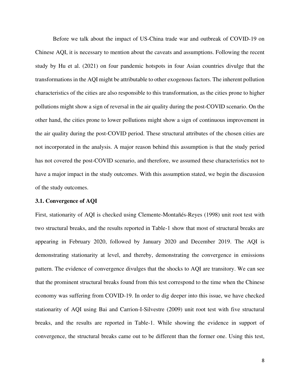Before we talk about the impact of US-China trade war and outbreak of COVID-19 on Chinese AQI, it is necessary to mention about the caveats and assumptions. Following the recent study by Hu et al. (2021) on four pandemic hotspots in four Asian countries divulge that the transformations in the AQI might be attributable to other exogenous factors. The inherent pollution characteristics of the cities are also responsible to this transformation, as the cities prone to higher pollutions might show a sign of reversal in the air quality during the post-COVID scenario. On the other hand, the cities prone to lower pollutions might show a sign of continuous improvement in the air quality during the post-COVID period. These structural attributes of the chosen cities are not incorporated in the analysis. A major reason behind this assumption is that the study period has not covered the post-COVID scenario, and therefore, we assumed these characteristics not to have a major impact in the study outcomes. With this assumption stated, we begin the discussion of the study outcomes.

#### **3.1. Convergence of AQI**

First, stationarity of AQI is checked using Clemente-Montañés-Reyes (1998) unit root test with two structural breaks, and the results reported in Table-1 show that most of structural breaks are appearing in February 2020, followed by January 2020 and December 2019. The AQI is demonstrating stationarity at level, and thereby, demonstrating the convergence in emissions pattern. The evidence of convergence divulges that the shocks to AQI are transitory. We can see that the prominent structural breaks found from this test correspond to the time when the Chinese economy was suffering from COVID-19. In order to dig deeper into this issue, we have checked stationarity of AQI using Bai and Carrion-I-Silvestre (2009) unit root test with five structural breaks, and the results are reported in Table-1. While showing the evidence in support of convergence, the structural breaks came out to be different than the former one. Using this test,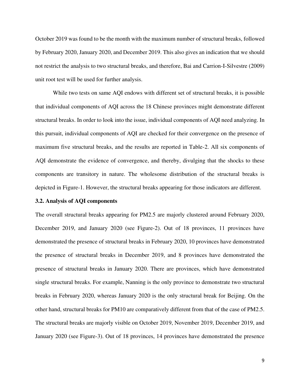October 2019 was found to be the month with the maximum number of structural breaks, followed by February 2020, January 2020, and December 2019. This also gives an indication that we should not restrict the analysis to two structural breaks, and therefore, Bai and Carrion-I-Silvestre (2009) unit root test will be used for further analysis.

While two tests on same AQI endows with different set of structural breaks, it is possible that individual components of AQI across the 18 Chinese provinces might demonstrate different structural breaks. In order to look into the issue, individual components of AQI need analyzing. In this pursuit, individual components of AQI are checked for their convergence on the presence of maximum five structural breaks, and the results are reported in Table-2. All six components of AQI demonstrate the evidence of convergence, and thereby, divulging that the shocks to these components are transitory in nature. The wholesome distribution of the structural breaks is depicted in Figure-1. However, the structural breaks appearing for those indicators are different.

#### **3.2. Analysis of AQI components**

The overall structural breaks appearing for PM2.5 are majorly clustered around February 2020, December 2019, and January 2020 (see Figure-2). Out of 18 provinces, 11 provinces have demonstrated the presence of structural breaks in February 2020, 10 provinces have demonstrated the presence of structural breaks in December 2019, and 8 provinces have demonstrated the presence of structural breaks in January 2020. There are provinces, which have demonstrated single structural breaks. For example, Nanning is the only province to demonstrate two structural breaks in February 2020, whereas January 2020 is the only structural break for Beijing. On the other hand, structural breaks for PM10 are comparatively different from that of the case of PM2.5. The structural breaks are majorly visible on October 2019, November 2019, December 2019, and January 2020 (see Figure-3). Out of 18 provinces, 14 provinces have demonstrated the presence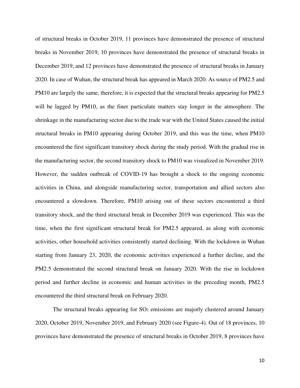of structural breaks in October 2019, 11 provinces have demonstrated the presence of structural breaks in November 2019, 10 provinces have demonstrated the presence of structural breaks in December 2019, and 12 provinces have demonstrated the presence of structural breaks in January 2020. In case of Wuhan, the structural break has appeared in March 2020. As source of PM2.5 and PM10 are largely the same, therefore, it is expected that the structural breaks appearing for PM2.5 will be lagged by PM10, as the finer particulate matters stay longer in the atmosphere. The shrinkage in the manufacturing sector due to the trade war with the United States caused the initial structural breaks in PM10 appearing during October 2019, and this was the time, when PM10 encountered the first significant transitory shock during the study period. With the gradual rise in the manufacturing sector, the second transitory shock to PM10 was visualized in November 2019. However, the sudden outbreak of COVID-19 has brought a shock to the ongoing economic activities in China, and alongside manufacturing sector, transportation and allied sectors also encountered a slowdown. Therefore, PM10 arising out of these sectors encountered a third transitory shock, and the third structural break in December 2019 was experienced. This was the time, when the first significant structural break for PM2.5 appeared, as along with economic activities, other household activities consistently started declining. With the lockdown in Wuhan starting from January 23, 2020, the economic activities experienced a further decline, and the PM2.5 demonstrated the second structural break on January 2020. With the rise in lockdown period and further decline in economic and human activities in the preceding month, PM2.5 encountered the third structural break on February 2020.

The structural breaks appearing for  $SO<sub>2</sub>$  emissions are majorly clustered around January 2020, October 2019, November 2019, and February 2020 (see Figure-4). Out of 18 provinces, 10 provinces have demonstrated the presence of structural breaks in October 2019, 8 provinces have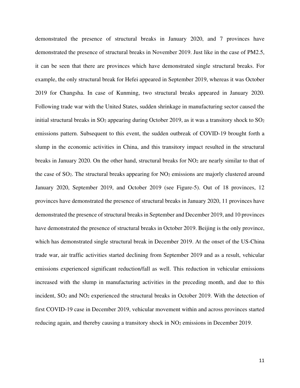demonstrated the presence of structural breaks in January 2020, and 7 provinces have demonstrated the presence of structural breaks in November 2019. Just like in the case of PM2.5, it can be seen that there are provinces which have demonstrated single structural breaks. For example, the only structural break for Hefei appeared in September 2019, whereas it was October 2019 for Changsha. In case of Kunming, two structural breaks appeared in January 2020. Following trade war with the United States, sudden shrinkage in manufacturing sector caused the initial structural breaks in  $SO_2$  appearing during October 2019, as it was a transitory shock to  $SO_2$ emissions pattern. Subsequent to this event, the sudden outbreak of COVID-19 brought forth a slump in the economic activities in China, and this transitory impact resulted in the structural breaks in January 2020. On the other hand, structural breaks for  $NO<sub>2</sub>$  are nearly similar to that of the case of SO2. The structural breaks appearing for NO2 emissions are majorly clustered around January 2020, September 2019, and October 2019 (see Figure-5). Out of 18 provinces, 12 provinces have demonstrated the presence of structural breaks in January 2020, 11 provinces have demonstrated the presence of structural breaks in September and December 2019, and 10 provinces have demonstrated the presence of structural breaks in October 2019. Beijing is the only province, which has demonstrated single structural break in December 2019. At the onset of the US-China trade war, air traffic activities started declining from September 2019 and as a result, vehicular emissions experienced significant reduction/fall as well. This reduction in vehicular emissions increased with the slump in manufacturing activities in the preceding month, and due to this incident,  $SO_2$  and  $NO_2$  experienced the structural breaks in October 2019. With the detection of first COVID-19 case in December 2019, vehicular movement within and across provinces started reducing again, and thereby causing a transitory shock in NO<sub>2</sub> emissions in December 2019.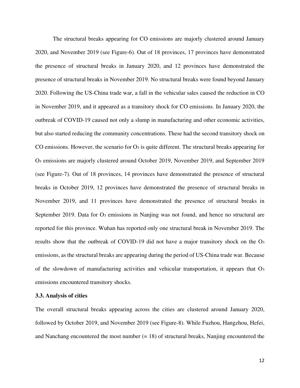The structural breaks appearing for CO emissions are majorly clustered around January 2020, and November 2019 (see Figure-6). Out of 18 provinces, 17 provinces have demonstrated the presence of structural breaks in January 2020, and 12 provinces have demonstrated the presence of structural breaks in November 2019. No structural breaks were found beyond January 2020. Following the US-China trade war, a fall in the vehicular sales caused the reduction in CO in November 2019, and it appeared as a transitory shock for CO emissions. In January 2020, the outbreak of COVID-19 caused not only a slump in manufacturing and other economic activities, but also started reducing the community concentrations. These had the second transitory shock on CO emissions. However, the scenario for  $O_3$  is quite different. The structural breaks appearing for O3 emissions are majorly clustered around October 2019, November 2019, and September 2019 (see Figure-7). Out of 18 provinces, 14 provinces have demonstrated the presence of structural breaks in October 2019, 12 provinces have demonstrated the presence of structural breaks in November 2019, and 11 provinces have demonstrated the presence of structural breaks in September 2019. Data for O3 emissions in Nanjing was not found, and hence no structural are reported for this province. Wuhan has reported only one structural break in November 2019. The results show that the outbreak of COVID-19 did not have a major transitory shock on the O<sup>3</sup> emissions, as the structural breaks are appearing during the period of US-China trade war. Because of the slowdown of manufacturing activities and vehicular transportation, it appears that  $O_3$ emissions encountered transitory shocks.

#### **3.3. Analysis of cities**

The overall structural breaks appearing across the cities are clustered around January 2020, followed by October 2019, and November 2019 (see Figure-8). While Fuzhou, Hangzhou, Hefei, and Nanchang encountered the most number  $(= 18)$  of structural breaks, Nanjing encountered the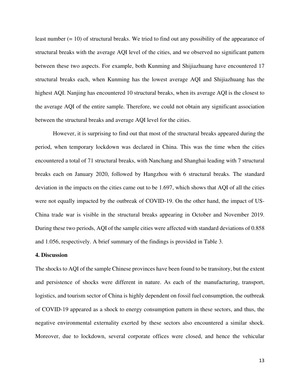least number (= 10) of structural breaks. We tried to find out any possibility of the appearance of structural breaks with the average AQI level of the cities, and we observed no significant pattern between these two aspects. For example, both Kunming and Shijiazhuang have encountered 17 structural breaks each, when Kunming has the lowest average AQI and Shijiazhuang has the highest AQI. Nanjing has encountered 10 structural breaks, when its average AQI is the closest to the average AQI of the entire sample. Therefore, we could not obtain any significant association between the structural breaks and average AQI level for the cities.

However, it is surprising to find out that most of the structural breaks appeared during the period, when temporary lockdown was declared in China. This was the time when the cities encountered a total of 71 structural breaks, with Nanchang and Shanghai leading with 7 structural breaks each on January 2020, followed by Hangzhou with 6 structural breaks. The standard deviation in the impacts on the cities came out to be 1.697, which shows that AQI of all the cities were not equally impacted by the outbreak of COVID-19. On the other hand, the impact of US-China trade war is visible in the structural breaks appearing in October and November 2019. During these two periods, AQI of the sample cities were affected with standard deviations of 0.858 and 1.056, respectively. A brief summary of the findings is provided in Table 3.

#### **4. Discussion**

The shocks to AQI of the sample Chinese provinces have been found to be transitory, but the extent and persistence of shocks were different in nature. As each of the manufacturing, transport, logistics, and tourism sector of China is highly dependent on fossil fuel consumption, the outbreak of COVID-19 appeared as a shock to energy consumption pattern in these sectors, and thus, the negative environmental externality exerted by these sectors also encountered a similar shock. Moreover, due to lockdown, several corporate offices were closed, and hence the vehicular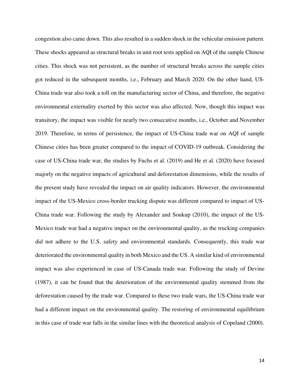congestion also came down. This also resulted in a sudden shock in the vehicular emission pattern. These shocks appeared as structural breaks in unit root tests applied on AQI of the sample Chinese cities. This shock was not persistent, as the number of structural breaks across the sample cities got reduced in the subsequent months, i.e., February and March 2020. On the other hand, US-China trade war also took a toll on the manufacturing sector of China, and therefore, the negative environmental externality exerted by this sector was also affected. Now, though this impact was transitory, the impact was visible for nearly two consecutive months, i.e., October and November 2019. Therefore, in terms of persistence, the impact of US-China trade war on AQI of sample Chinese cities has been greater compared to the impact of COVID-19 outbreak. Considering the case of US-China trade war, the studies by Fuchs et al. (2019) and He et al. (2020) have focused majorly on the negative impacts of agricultural and deforestation dimensions, while the results of the present study have revealed the impact on air quality indicators. However, the environmental impact of the US-Mexico cross-border trucking dispute was different compared to impact of US-China trade war. Following the study by Alexander and Soukup (2010), the impact of the US-Mexico trade war had a negative impact on the environmental quality, as the trucking companies did not adhere to the U.S. safety and environmental standards. Consequently, this trade war deteriorated the environmental quality in both Mexico and the US. A similar kind of environmental impact was also experienced in case of US-Canada trade war. Following the study of Devine (1987), it can be found that the deterioration of the environmental quality stemmed from the deforestation caused by the trade war. Compared to these two trade wars, the US-China trade war had a different impact on the environmental quality. The restoring of environmental equilibrium in this case of trade war falls in the similar lines with the theoretical analysis of Copeland (2000).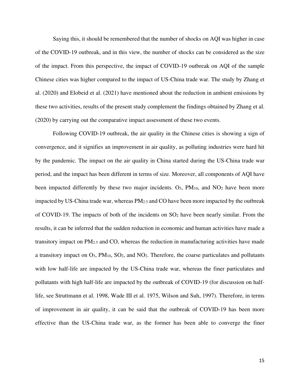Saying this, it should be remembered that the number of shocks on AQI was higher in case of the COVID-19 outbreak, and in this view, the number of shocks can be considered as the size of the impact. From this perspective, the impact of COVID-19 outbreak on AQI of the sample Chinese cities was higher compared to the impact of US-China trade war. The study by Zhang et al. (2020) and Elobeid et al. (2021) have mentioned about the reduction in ambient emissions by these two activities, results of the present study complement the findings obtained by Zhang et al. (2020) by carrying out the comparative impact assessment of these two events.

Following COVID-19 outbreak, the air quality in the Chinese cities is showing a sign of convergence, and it signifies an improvement in air quality, as polluting industries were hard hit by the pandemic. The impact on the air quality in China started during the US-China trade war period, and the impact has been different in terms of size. Moreover, all components of AQI have been impacted differently by these two major incidents.  $O_3$ ,  $PM_{10}$ , and  $NO_2$  have been more impacted by US-China trade war, whereas PM2.5 and CO have been more impacted by the outbreak of COVID-19. The impacts of both of the incidents on SO2 have been nearly similar. From the results, it can be inferred that the sudden reduction in economic and human activities have made a transitory impact on PM2.5 and CO, whereas the reduction in manufacturing activities have made a transitory impact on  $O_3$ ,  $PM_{10}$ ,  $SO_2$ , and  $NO_2$ . Therefore, the coarse particulates and pollutants with low half-life are impacted by the US-China trade war, whereas the finer particulates and pollutants with high half-life are impacted by the outbreak of COVID-19 (for discussion on halflife, see Struttmann et al. 1998, Wade III et al. 1975, Wilson and Suh, 1997). Therefore, in terms of improvement in air quality, it can be said that the outbreak of COVID-19 has been more effective than the US-China trade war, as the former has been able to converge the finer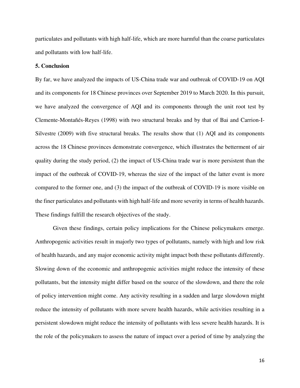particulates and pollutants with high half-life, which are more harmful than the coarse particulates and pollutants with low half-life.

#### **5. Conclusion**

By far, we have analyzed the impacts of US-China trade war and outbreak of COVID-19 on AQI and its components for 18 Chinese provinces over September 2019 to March 2020. In this pursuit, we have analyzed the convergence of AQI and its components through the unit root test by Clemente-Montañés-Reyes (1998) with two structural breaks and by that of Bai and Carrion-I-Silvestre (2009) with five structural breaks. The results show that (1) AQI and its components across the 18 Chinese provinces demonstrate convergence, which illustrates the betterment of air quality during the study period, (2) the impact of US-China trade war is more persistent than the impact of the outbreak of COVID-19, whereas the size of the impact of the latter event is more compared to the former one, and (3) the impact of the outbreak of COVID-19 is more visible on the finer particulates and pollutants with high half-life and more severity in terms of health hazards. These findings fulfill the research objectives of the study.

Given these findings, certain policy implications for the Chinese policymakers emerge. Anthropogenic activities result in majorly two types of pollutants, namely with high and low risk of health hazards, and any major economic activity might impact both these pollutants differently. Slowing down of the economic and anthropogenic activities might reduce the intensity of these pollutants, but the intensity might differ based on the source of the slowdown, and there the role of policy intervention might come. Any activity resulting in a sudden and large slowdown might reduce the intensity of pollutants with more severe health hazards, while activities resulting in a persistent slowdown might reduce the intensity of pollutants with less severe health hazards. It is the role of the policymakers to assess the nature of impact over a period of time by analyzing the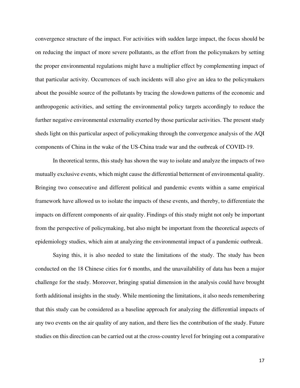convergence structure of the impact. For activities with sudden large impact, the focus should be on reducing the impact of more severe pollutants, as the effort from the policymakers by setting the proper environmental regulations might have a multiplier effect by complementing impact of that particular activity. Occurrences of such incidents will also give an idea to the policymakers about the possible source of the pollutants by tracing the slowdown patterns of the economic and anthropogenic activities, and setting the environmental policy targets accordingly to reduce the further negative environmental externality exerted by those particular activities. The present study sheds light on this particular aspect of policymaking through the convergence analysis of the AQI components of China in the wake of the US-China trade war and the outbreak of COVID-19.

In theoretical terms, this study has shown the way to isolate and analyze the impacts of two mutually exclusive events, which might cause the differential betterment of environmental quality. Bringing two consecutive and different political and pandemic events within a same empirical framework have allowed us to isolate the impacts of these events, and thereby, to differentiate the impacts on different components of air quality. Findings of this study might not only be important from the perspective of policymaking, but also might be important from the theoretical aspects of epidemiology studies, which aim at analyzing the environmental impact of a pandemic outbreak.

Saying this, it is also needed to state the limitations of the study. The study has been conducted on the 18 Chinese cities for 6 months, and the unavailability of data has been a major challenge for the study. Moreover, bringing spatial dimension in the analysis could have brought forth additional insights in the study. While mentioning the limitations, it also needs remembering that this study can be considered as a baseline approach for analyzing the differential impacts of any two events on the air quality of any nation, and there lies the contribution of the study. Future studies on this direction can be carried out at the cross-country level for bringing out a comparative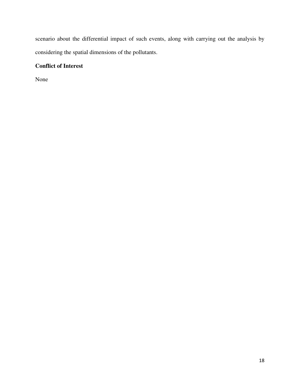scenario about the differential impact of such events, along with carrying out the analysis by considering the spatial dimensions of the pollutants.

# **Conflict of Interest**

None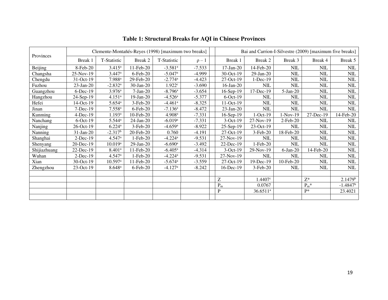| Provinces    | Clemente-Montañés-Reyes (1998) [maximum two breaks] |                       |                 |                       |            |              | Bai and Carrion-I-Silvestre (2009) [maximum five breaks] |            |                               |                     |
|--------------|-----------------------------------------------------|-----------------------|-----------------|-----------------------|------------|--------------|----------------------------------------------------------|------------|-------------------------------|---------------------|
|              | Break 1                                             | T-Statistic           | Break 2         | T-Statistic           | $\rho - 1$ | Break 1      | Break 2                                                  | Break 3    | Break 4                       | Break 5             |
| Beijing      | 8-Feb-20                                            | $3.415^a$             | 11-Feb-20       | $-3.581$ <sup>a</sup> | $-7.533$   | $17$ -Jan-20 | 14-Feb-20                                                | NIL        | <b>NIL</b>                    | $\text{NIL}$        |
| Changsha     | 25-Nov-19                                           | 3.447a                | $6$ -Feb-20     | $-5.047$ <sup>a</sup> | $-4.999$   | 30-Oct-19    | $29$ -Jan- $20$                                          | <b>NIL</b> | NIL                           | NIL                 |
| Chengdu      | $31-Oct-19$                                         | 7.988 <sup>a</sup>    | 29-Feb-20       | $-2.774$ <sup>a</sup> | $-4.423$   | 27-Oct-19    | $1-Dec-19$                                               | <b>NIL</b> | <b>NIL</b>                    | NIL                 |
| Fuzhou       | $23$ -Jan-20                                        | $-2.832$ <sup>a</sup> | $30$ -Jan-20    | 1.922 <sup>c</sup>    | $-3.690$   | 16-Jan-20    | <b>NIL</b>                                               | <b>NIL</b> | <b>NIL</b>                    | NIL                 |
| Guangzhou    | $6$ -Dec-19                                         | 3.976 <sup>a</sup>    | $7-Jan-20$      | $-8.796$ <sup>a</sup> | $-3.654$   | 16-Sep-19    | 17-Dec-19                                                | $5-Jan-20$ | <b>NIL</b>                    | <b>NIL</b>          |
| Hangzhou     | 24-Sep-19                                           | 4.151 <sup>a</sup>    | $19$ -Jan-20    | $-4.526$ <sup>a</sup> | $-5.377$   | $6$ -Oct-19  | <b>NIL</b>                                               | <b>NIL</b> | <b>NIL</b>                    | NIL                 |
| Hefei        | $14-Oct-19$                                         | 5.654a                | $3-Feb-20$      | $-4.461$ <sup>a</sup> | $-8.325$   | $11-Oct-19$  | $\text{NIL}$                                             | NIL        | $\text{NIL}$                  | <b>NIL</b>          |
| Jinan        | $7-Dec-19$                                          | $7.558$ <sup>a</sup>  | $6$ -Feb-20     | $-7.136$ <sup>a</sup> | $-8.472$   | $23$ -Jan-20 | <b>NIL</b>                                               | <b>NIL</b> | <b>NIL</b>                    | NIL                 |
| Kunming      | $4$ -Dec-19                                         | 1.193 <sup>a</sup>    | 10-Feb-20       | 4.908 <sup>a</sup>    | $-7.331$   | 16-Sep-19    | $1-Oct-19$                                               | $1-Nov-19$ | 27-Dec-19                     | 14-Feb-20           |
| Nanchang     | $6$ -Oct-19                                         | $5.544^{\rm a}$       | $24$ -Jan-20    | $-6.019$ <sup>a</sup> | $-7.331$   | 3-Oct-19     | 27-Nov-19                                                | 2-Feb-20   | NIL                           | NIL                 |
| Nanjing      | $26$ -Oct-19                                        | $6.224$ <sup>a</sup>  | $3-Feb-20$      | $-4.659$ <sup>a</sup> | $-8.922$   | $25-Sep-19$  | 23-Oct-19                                                | NIL        | NIL                           | NIL                 |
| Nanning      | $31$ -Jan-20                                        | $-2.317^b$            | 20-Feb-20       | 0.760                 | $-4.191$   | 27-Oct-19    | $3-Feb-20$                                               | 18-Feb-20  | <b>NIL</b>                    | NIL                 |
| Shanghai     | $2$ -Dec-19                                         | $4.547$ <sup>a</sup>  | $1-Feb-20$      | $-4.224$ <sup>a</sup> | $-9.531$   | 27-Nov-19    | <b>NIL</b>                                               | <b>NIL</b> | $\text{NIL}$                  | <b>NIL</b>          |
| Shenyang     | 20-Dec-19                                           | $10.019^{a}$          | $29$ -Jan- $20$ | $-6.690$ <sup>a</sup> | $-3.492$   | 22-Dec-19    | 1-Feb-20                                                 | <b>NIL</b> | <b>NIL</b>                    | NIL                 |
| Shijiazhuang | $22$ -Dec-19                                        | 8.401 <sup>a</sup>    | 11-Feb-20       | $-6.405^{\rm a}$      | $-4.314$   | $3-Oct-19$   | 29-Nov-19                                                | $6-Jan-20$ | 14-Feb-20                     | NIL                 |
| Wuhan        | $2-Dec-19$                                          | 4.547a                | $1-Feb-20$      | $-4.224$ <sup>a</sup> | $-9.531$   | 27-Nov-19    | <b>NIL</b>                                               | NIL        | <b>NIL</b>                    | NIL                 |
| Xian         | $30$ -Oct-19                                        | $10.597$ <sup>a</sup> | 11-Feb-20       | $-5.674$ <sup>a</sup> | $-3.559$   | 27-Oct-19    | 19-Dec-19                                                | 10-Feb-20  | <b>NIL</b>                    | <b>NIL</b>          |
| Zhengzhou    | 23-Oct-19                                           | $8.648^{a}$           | $6$ -Feb-20     | $-4.127$ <sup>a</sup> | $-8.242$   | 16-Dec-19    | 3-Feb-20                                                 | NIL        | <b>NIL</b>                    | NIL                 |
|              |                                                     |                       |                 |                       |            |              |                                                          |            |                               |                     |
|              |                                                     |                       |                 |                       |            | Ζ            | 1.4407c                                                  |            | $Z^*$                         | 2.1479 <sup>b</sup> |
|              |                                                     |                       |                 |                       |            | $P_m$        | 0.0767                                                   |            | $\mathrm{P}_{\mathrm{m}}{}^*$ | $-1.4847^b$         |
|              |                                                     |                       |                 |                       |            | P            | $36.6511$ <sup>a</sup>                                   |            | $P*$                          | 23.4021             |
|              |                                                     |                       |                 |                       |            |              |                                                          |            |                               |                     |

# **Table 1: Structural Breaks for AQI in Chinese Provinces**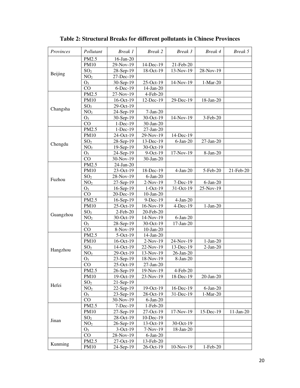| Provinces | Pollutant       | Break 1     | <b>Break 2</b>  | Break 3     | Break 4     | Break 5     |
|-----------|-----------------|-------------|-----------------|-------------|-------------|-------------|
| Beijing   | PM2.5           | 16-Jan-20   |                 |             |             |             |
|           | <b>PM10</b>     | 29-Nov-19   | 14-Dec-19       | 21-Feb-20   |             |             |
|           | SO <sub>2</sub> | 28-Sep-19   | 18-Oct-19       | 13-Nov-19   | 28-Nov-19   |             |
|           | NO <sub>2</sub> | 27-Dec-19   |                 |             |             |             |
|           | $O_3$           | 30-Sep-19   | 25-Oct-19       | 14-Nov-19   | $1-Mar-20$  |             |
|           | CO              | $6$ -Dec-19 | 14-Jan-20       |             |             |             |
|           | PM2.5           | 27-Nov-19   | 4-Feb-20        |             |             |             |
|           | <b>PM10</b>     | 16-Oct-19   | 12-Dec-19       | 29-Dec-19   | 18-Jan-20   |             |
| Changsha  | SO <sub>2</sub> | 29-Oct-19   |                 |             |             |             |
|           | NO <sub>2</sub> | 24-Sep-19   | $7-Jan-20$      |             |             |             |
|           | O <sub>3</sub>  | 30-Sep-19   | 30-Oct-19       | 14-Nov-19   | 3-Feb-20    |             |
|           | CO              | 1-Dec-19    | 30-Jan-20       |             |             |             |
|           | PM2.5           | $1-Dec-19$  | $27-Ian-20$     |             |             |             |
|           | <b>PM10</b>     | 24-Oct-19   | 29-Nov-19       | 14-Dec-19   |             |             |
|           | SO <sub>2</sub> | 28-Sep-19   | 13-Dec-19       | $6$ -Jan-20 | 27-Jan-20   |             |
| Chengdu   | NO <sub>2</sub> | 19-Sep-19   | 30-Oct-19       |             |             |             |
|           | O <sub>3</sub>  | 24-Sep-19   | 9-Oct-19        | 17-Nov-19   | 8-Jan-20    |             |
|           | CO              | 30-Nov-19   | 30-Jan-20       |             |             |             |
|           | PM2.5           | 24-Jan-20   |                 |             |             |             |
|           | <b>PM10</b>     | 23-Oct-19   | 18-Dec-19       | $4-Jan-20$  | 5-Feb-20    | 21-Feb-20   |
|           | SO <sub>2</sub> | 28-Nov-19   | $6$ -Jan-20     |             |             |             |
| Fuzhou    | NO <sub>2</sub> | 27-Sep-19   | $2-Nov-19$      | 7-Dec-19    | $6$ -Jan-20 |             |
|           | O <sub>3</sub>  | 16-Sep-19   | $1-Oct-19$      | 31-Oct-19   | 25-Nov-19   |             |
|           | CO              | 20-Dec-19   | $10$ -Jan- $20$ |             |             |             |
|           | PM2.5           | 16-Sep-19   | 9-Dec-19        | $4-Jan-20$  |             |             |
|           | <b>PM10</b>     | 25-Oct-19   | 16-Nov-19       | 4-Dec-19    | $1-Jan-20$  |             |
|           | SO <sub>2</sub> | 2-Feb-20    | 20-Feb-20       |             |             |             |
| Guangzhou | NO <sub>2</sub> | 30-Oct-19   | 14-Nov-19       | $6$ -Jan-20 |             |             |
|           | O <sub>3</sub>  | 28-Sep-19   | 30-Oct-19       | $17-Jan-20$ |             |             |
|           | CO              | 8-Nov-19    | $10$ -Jan- $20$ |             |             |             |
|           | PM2.5           | $5-Oct-19$  | 14-Jan-20       |             |             |             |
|           | <b>PM10</b>     | 16-Oct-19   | 2-Nov-19        | 24-Nov-19   | $1-Jan-20$  |             |
|           | SO <sub>2</sub> | 14-Oct-19   | 22-Nov-19       | 13-Dec-19   | $2-Jan-20$  |             |
| Hangzhou  | NO <sub>2</sub> | 29-Oct-19   | 13-Nov-19       | 26-Jan-20   |             |             |
|           | O <sub>3</sub>  | 23-Sep-19   | 18-Nov-19       | 8-Jan-20    |             |             |
|           | CO              | 25-Oct-19   | $27$ -Jan- $20$ |             |             |             |
|           | PM2.5           | 26-Sep-19   | 19-Nov-19       | 4-Feb-20    |             |             |
|           | <b>PM10</b>     | 19-Oct-19   | 23-Nov-19       | 18-Dec-19   | 20-Jan-20   |             |
|           | SO <sub>2</sub> | 21-Sep-19   |                 |             |             |             |
| Hefei     | NO <sub>2</sub> | 22-Sep-19   | 19-Oct-19       | 16-Dec-19   | $6-Jan-20$  |             |
|           | $O_3$           | 23-Sep-19   | 28-Oct-19       | 31-Dec-19   | $1-Mar-20$  |             |
|           | $_{\rm CO}$     | 30-Nov-19   | $6$ -Jan-20     |             |             |             |
|           | PM2.5           | 7-Dec-19    | 1-Feb-20        |             |             |             |
|           | <b>PM10</b>     | 27-Sep-19   | 27-Oct-19       | 17-Nov-19   | 15-Dec-19   | $11-Jan-20$ |
|           | SO <sub>2</sub> | 28-Oct-19   | 10-Dec-19       |             |             |             |
| Jinan     | NO <sub>2</sub> | 26-Sep-19   | 13-Oct-19       | 30-Oct-19   |             |             |
|           | $O_3$           | 3-Oct-19    | $7-Nov-19$      | 18-Jan-20   |             |             |
|           | CO              | 28-Nov-19   | $6$ -Jan-20     |             |             |             |
|           | PM2.5           | 27-Oct-19   | 13-Feb-20       |             |             |             |
| Kunming   | <b>PM10</b>     | 24-Sep-19   | 26-Oct-19       | 10-Nov-19   | 1-Feb-20    |             |

# **Table 2: Structural Breaks for different pollutants in Chinese Provinces**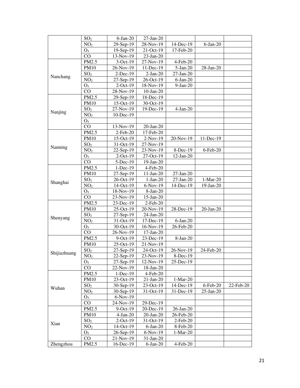|              | SO <sub>2</sub> | $6$ -Jan-20  | $27$ -Jan- $20$ |                 |              |           |
|--------------|-----------------|--------------|-----------------|-----------------|--------------|-----------|
|              | NO <sub>2</sub> | 29-Sep-19    | 28-Nov-19       | 14-Dec-19       | $6-Jan-20$   |           |
|              | $O_3$           | $19-Sep-19$  | $21-Oct-19$     | 17-Feb-20       |              |           |
|              | CO              | 13-Nov-19    | $23$ -Jan-20    |                 |              |           |
|              | PM2.5           | $3-Oct-19$   | 27-Nov-19       | $4$ -Feb-20     |              |           |
|              | PM10            | 26-Nov-19    | 11-Dec-19       | $5-Jan-20$      | 28-Jan-20    |           |
|              | SO <sub>2</sub> | $2$ -Dec-19  | $2-Jan-20$      | 27-Jan-20       |              |           |
| Nanchang     | NO <sub>2</sub> | $27-Sep-19$  | 26-Oct-19       | $6$ -Jan-20     |              |           |
|              | $O_3$           | $2$ -Oct-19  | 18-Nov-19       | $9-Jan-20$      |              |           |
|              | CO              | 28-Nov-19    | $10$ -Jan- $20$ |                 |              |           |
|              | PM2.5           | 29-Sep-19    | 18-Dec-19       |                 |              |           |
|              | PM10            | $15$ -Oct-19 | $30$ -Oct-19    |                 |              |           |
|              | SO <sub>2</sub> | 27-Nov-19    | 19-Dec-19       | $4-Jan-20$      |              |           |
| Nanjing      | NO <sub>2</sub> | $10$ -Dec-19 |                 |                 |              |           |
|              | $O_3$           |              |                 |                 |              |           |
|              | CO              | 13-Nov-19    | 20-Jan-20       |                 |              |           |
|              | PM2.5           | 2-Feb-20     | 17-Feb-20       |                 |              |           |
|              | PM10            | 15-Oct-19    | $2-Nov-19$      | 20-Nov-19       | 11-Dec-19    |           |
|              | SO <sub>2</sub> | 31-Oct-19    | 27-Nov-19       |                 |              |           |
| Nanning      | NO <sub>2</sub> | $22-Sep-19$  | 23-Nov-19       | 8-Dec-19        | 6-Feb-20     |           |
|              | $O_3$           | $2$ -Oct-19  | $27$ -Oct-19    | $12$ -Jan-20    |              |           |
|              | CO              | 5-Dec-19     | 19-Jan-20       |                 |              |           |
|              | PM2.5           | $1-Dec-19$   | 4-Feb-20        |                 |              |           |
|              | PM10            | $27-Sep-19$  | $11-Jan-20$     | 27-Jan-20       |              |           |
|              | SO <sub>2</sub> | 26-Oct-19    | $1-Jan-20$      | $27$ -Jan- $20$ | $1-Mar-20$   |           |
| Shanghai     | NO <sub>2</sub> | 14-Oct-19    | $6-Nov-19$      | 14-Dec-19       | $19$ -Jan-20 |           |
|              | $O_3$           | 18-Nov-19    | $8-Jan-20$      |                 |              |           |
|              | CO              | 23-Nov-19    | $15$ -Jan-20    |                 |              |           |
|              | PM2.5           | $23$ -Dec-19 | $2$ -Feb-20     |                 |              |           |
|              | PM10            | $25$ -Oct-19 | 20-Nov-19       | 28-Dec-19       | 20-Jan-20    |           |
|              | SO <sub>2</sub> | $27-Sep-19$  | $24$ -Jan- $20$ |                 |              |           |
| Shenyang     | NO <sub>2</sub> | 31-Oct-19    | 17-Dec-19       | $6$ -Jan-20     |              |           |
|              | $O_3$           | 30-Oct-19    | 16-Nov-19       | 26-Feb-20       |              |           |
|              | CO              | 26-Nov-19    | $17-Jan-20$     |                 |              |           |
|              | PM2.5           | $9$ -Oct-19  | 23-Dec-19       | 8-Jan-20        |              |           |
|              | <b>PM10</b>     | $25$ -Oct-19 | 21-Nov-19       |                 |              |           |
|              | SO <sub>2</sub> | 27-Sep-19    | 24-Oct-19       | 26-Nov-19       | 24-Feb-20    |           |
| Shijiazhuang | NO <sub>2</sub> | $22-Sep-19$  | $23-Nov-19$     | $8-Dec-19$      |              |           |
|              | $O_3$           | $27$ -Sep-19 | 12-Nov-19       | 25-Dec-19       |              |           |
|              | CO              | 22-Nov-19    | 18-Jan-20       |                 |              |           |
| Wuhan        | PM2.5           | $1$ -Dec-19  | $4$ -Feb-20     |                 |              |           |
|              | PM10            | $23-Oct-19$  | $21$ -Jan- $20$ | $1-Mar-20$      |              |           |
|              | SO <sub>2</sub> | $30-Sep-19$  | $23-Oct-19$     | $14$ -Dec-19    | 6-Feb-20     | 22-Feb-20 |
|              | NO <sub>2</sub> | $30-Sep-19$  | $31-Oct-19$     | 31-Dec-19       | 25-Jan-20    |           |
|              | $O_3$           | 6-Nov-19     |                 |                 |              |           |
|              | CO              | 24-Nov-19    | 29-Dec-19       |                 |              |           |
| Xian         | PM2.5           | $9$ -Oct-19  | $20$ -Dec-19    | $26$ -Jan- $20$ |              |           |
|              | PM10            | $4-Jan-20$   | 20-Jan-20       | 26-Feb-20       |              |           |
|              | SO <sub>2</sub> | $2$ -Oct-19  | $31-Oct-19$     | 2-Feb-20        |              |           |
|              | NO <sub>2</sub> | 14-Oct-19    | 6-Jan-20        | 8-Feb-20        |              |           |
|              | $O_3$           | 26-Sep-19    | $6-Nov-19$      | 1-Mar-20        |              |           |
|              | CO              | 21-Nov-19    | 31-Jan-20       |                 |              |           |
| Zhengzhou    | PM2.5           | $16$ -Dec-19 | $6$ -Jan-20     | $4$ -Feb-20     |              |           |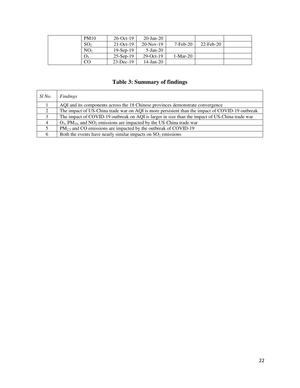| <b>PM10</b>     | $26$ -Oct-19 | $20 - Jan - 20$ |            |           |  |
|-----------------|--------------|-----------------|------------|-----------|--|
| SO <sub>2</sub> | $21$ -Oct-19 | $20-Nov-19$     | $7-Feb-20$ | 22-Feb-20 |  |
| NO <sub>2</sub> | $19-Sep-19$  | $5-Ian-20$      |            |           |  |
| $O_3$           | $25$ -Sep-19 | $29-Oct-19$     | $1-Mar-20$ |           |  |
| CO              | $23$ -Dec-19 | $14$ -Jan-20    |            |           |  |

# **Table 3: Summary of findings**

| Sl No.         | Findings                                                                                        |
|----------------|-------------------------------------------------------------------------------------------------|
|                | AQI and its components across the 18 Chinese provinces demonstrate convergence                  |
| 2              | The impact of US-China trade war on AQI is more persistent than the impact of COVID-19 outbreak |
| 2              | The impact of COVID-19 outbreak on AQI is larger in size than the impact of US-China trade war  |
| $\overline{4}$ | $O_3$ , PM <sub>10</sub> , and NO <sub>2</sub> emissions are impacted by the US-China trade war |
|                | $PM_{2.5}$ and CO emissions are impacted by the outbreak of COVID-19                            |
|                | Both the events have nearly similar impacts on $SO2$ emissions                                  |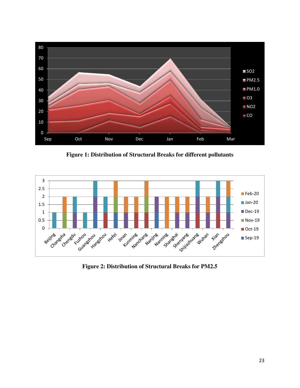

**Figure 1: Distribution of Structural Breaks for different pollutants** 



**Figure 2: Distribution of Structural Breaks for PM2.5**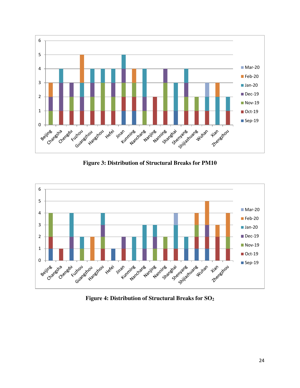

**Figure 3: Distribution of Structural Breaks for PM10** 



**Figure 4: Distribution of Structural Breaks for SO<sup>2</sup>**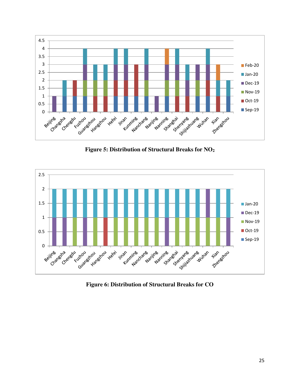

**Figure 5: Distribution of Structural Breaks for NO<sup>2</sup>**



**Figure 6: Distribution of Structural Breaks for CO**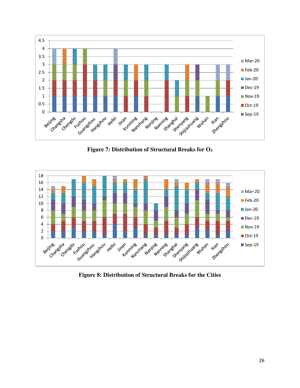

**Figure 7: Distribution of Structural Breaks for O<sup>3</sup>**



**Figure 8: Distribution of Structural Breaks for the Cities**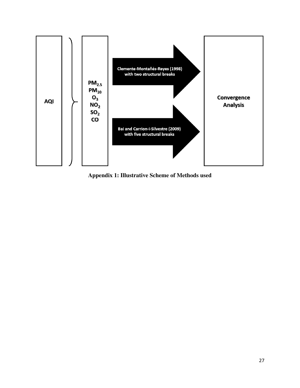

**Appendix 1: Illustrative Scheme of Methods used**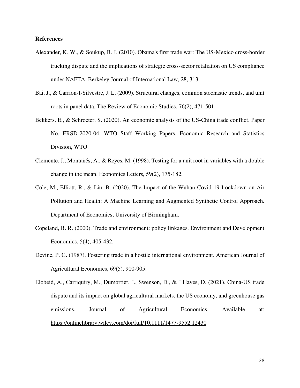#### **References**

- Alexander, K. W., & Soukup, B. J. (2010). Obama's first trade war: The US-Mexico cross-border trucking dispute and the implications of strategic cross-sector retaliation on US compliance under NAFTA. Berkeley Journal of International Law, 28, 313.
- Bai, J., & Carrion-I-Silvestre, J. L. (2009). Structural changes, common stochastic trends, and unit roots in panel data. The Review of Economic Studies, 76(2), 471-501.
- Bekkers, E., & Schroeter, S. (2020). An economic analysis of the US-China trade conflict. Paper No. ERSD-2020-04, WTO Staff Working Papers, Economic Research and Statistics Division, WTO.
- Clemente, J., Montañés, A., & Reyes, M. (1998). Testing for a unit root in variables with a double change in the mean. Economics Letters, 59(2), 175-182.
- Cole, M., Elliott, R., & Liu, B. (2020). The Impact of the Wuhan Covid-19 Lockdown on Air Pollution and Health: A Machine Learning and Augmented Synthetic Control Approach. Department of Economics, University of Birmingham.
- Copeland, B. R. (2000). Trade and environment: policy linkages. Environment and Development Economics, 5(4), 405-432.
- Devine, P. G. (1987). Fostering trade in a hostile international environment. American Journal of Agricultural Economics, 69(5), 900-905.
- Elobeid, A., Carriquiry, M., Dumortier, J., Swenson, D., & J Hayes, D. (2021). China‐US trade dispute and its impact on global agricultural markets, the US economy, and greenhouse gas emissions. Journal of Agricultural Economics. Available at: <https://onlinelibrary.wiley.com/doi/full/10.1111/1477-9552.12430>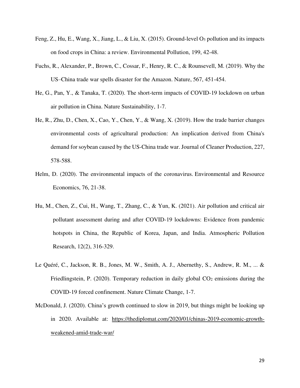- Feng, Z., Hu, E., Wang, X., Jiang, L., & Liu, X. (2015). Ground-level O3 pollution and its impacts on food crops in China: a review. Environmental Pollution, 199, 42-48.
- Fuchs, R., Alexander, P., Brown, C., Cossar, F., Henry, R. C., & Rounsevell, M. (2019). Why the US–China trade war spells disaster for the Amazon. Nature, 567, 451-454.
- He, G., Pan, Y., & Tanaka, T. (2020). The short-term impacts of COVID-19 lockdown on urban air pollution in China. Nature Sustainability, 1-7.
- He, R., Zhu, D., Chen, X., Cao, Y., Chen, Y., & Wang, X. (2019). How the trade barrier changes environmental costs of agricultural production: An implication derived from China's demand for soybean caused by the US-China trade war. Journal of Cleaner Production, 227, 578-588.
- Helm, D. (2020). The environmental impacts of the coronavirus. Environmental and Resource Economics, 76, 21-38.
- Hu, M., Chen, Z., Cui, H., Wang, T., Zhang, C., & Yun, K. (2021). Air pollution and critical air pollutant assessment during and after COVID-19 lockdowns: Evidence from pandemic hotspots in China, the Republic of Korea, Japan, and India. Atmospheric Pollution Research, 12(2), 316-329.
- Le Quéré, C., Jackson, R. B., Jones, M. W., Smith, A. J., Abernethy, S., Andrew, R. M., ... & Friedlingstein, P. (2020). Temporary reduction in daily global  $CO<sub>2</sub>$  emissions during the COVID-19 forced confinement. Nature Climate Change, 1-7.
- McDonald, J. (2020). China's growth continued to slow in 2019, but things might be looking up in 2020. Available at: [https://thediplomat.com/2020/01/chinas-2019-economic-growth](https://thediplomat.com/2020/01/chinas-2019-economic-growth-weakened-amid-trade-war/)[weakened-amid-trade-war/](https://thediplomat.com/2020/01/chinas-2019-economic-growth-weakened-amid-trade-war/)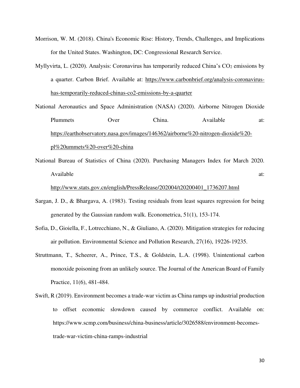- Morrison, W. M. (2018). China's Economic Rise: History, Trends, Challenges, and Implications for the United States. Washington, DC: Congressional Research Service.
- Myllyvirta, L. (2020). Analysis: Coronavirus has temporarily reduced China's CO<sub>2</sub> emissions by a quarter. Carbon Brief. Available at: [https://www.carbonbrief.org/analysis-coronavirus](https://www.carbonbrief.org/analysis-coronavirus-has-temporarily-reduced-chinas-co2-emissions-by-a-quarter)[has-temporarily-reduced-chinas-co2-emissions-by-a-quarter](https://www.carbonbrief.org/analysis-coronavirus-has-temporarily-reduced-chinas-co2-emissions-by-a-quarter)
- National Aeronautics and Space Administration (NASA) (2020). Airborne Nitrogen Dioxide Plummets Over China. Available at: [https://earthobservatory.nasa.gov/images/146362/airborne%20-nitrogen-dioxide%20](https://earthobservatory.nasa.gov/images/146362/airborne%20-nitrogen-dioxide%20-pl%20ummets%20-over%20-china) [pl%20ummets%20-over%20-china](https://earthobservatory.nasa.gov/images/146362/airborne%20-nitrogen-dioxide%20-pl%20ummets%20-over%20-china)
- National Bureau of Statistics of China (2020). Purchasing Managers Index for March 2020. Available at:  $\overline{a}$  at:

#### [http://www.stats.gov.cn/english/PressRelease/202004/t20200401\\_1736207.html](http://www.stats.gov.cn/english/PressRelease/202004/t20200401_1736207.html)

- Sargan, J. D., & Bhargava, A. (1983). Testing residuals from least squares regression for being generated by the Gaussian random walk. Econometrica, 51(1), 153-174.
- Sofia, D., Gioiella, F., Lotrecchiano, N., & Giuliano, A. (2020). Mitigation strategies for reducing air pollution. Environmental Science and Pollution Research, 27(16), 19226-19235.
- Struttmann, T., Scheerer, A., Prince, T.S., & Goldstein, L.A. (1998). Unintentional carbon monoxide poisoning from an unlikely source. The Journal of the American Board of Family Practice, 11(6), 481-484.
- Swift, R (2019). Environment becomes a trade-war victim as China ramps up industrial production to offset economic slowdown caused by commerce conflict. Available on: https://www.scmp.com/business/china-business/article/3026588/environment-becomestrade-war-victim-china-ramps-industrial